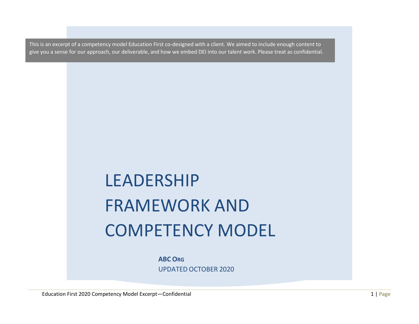This is an excerpt of a competency model Education First co-designed with a client. We aimed to include enough content to give you a sense for our approach, our deliverable, and how we embed DEI into our talent work. Please treat as confidential.

# LEADERSHIP FRAMEWORK AND COMPETENCY MODEL

**ABC ORG** UPDATED OCTOBER 2020

Education First 2020 Competency Model Excerpt—Confidential 1 and 2008 1 and 2008 1 and 2008 1 and 2008 1 and 2008 1 and 2008 1 and 2008 1 and 2008 1 and 2008 1 and 2008 1 and 2008 1 and 2008 1 and 2008 1 and 2008 1 and 200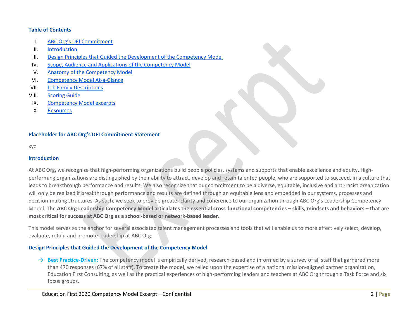#### **Table of Contents**

- I. ABC Org's DEI Commitment
- II. [Introduction](#page-1-0)
- III. [Design Principles that Guided the Development of the Competency Model](#page-1-1)
- IV. [Scope, Audience and Applications of the Competency Model](#page-2-0)
- V. [Anatomy of the Competency Model](#page-3-0)
- VI. [Competency Model At-a-Glance](#page-4-0)
- VII. [Job Family Descriptions](#page-5-0)
- VIII. [Scoring Guide](#page-5-0)
- IX. [Competency Model](#page-6-0) excerpts
- X. [Resources](#page-15-0)

# **Placeholder for ABC Org's DEI Commitment Statement**

xyz

## <span id="page-1-0"></span>**Introduction**

At ABC Org, we recognize that high-performing organizations build people policies, systems and supports that enable excellence and equity. Highperforming organizations are distinguished by their ability to attract, develop and retain talented people, who are supported to succeed, in a culture that leads to breakthrough performance and results. We also recognize that our commitment to be a diverse, equitable, inclusive and anti-racist organization will only be realized if breakthrough performance and results are defined through an equitable lens and embedded in our systems, processes and decision-making structures. As such, we seek to provide greater clarity and coherence to our organization through ABC Org's Leadership Competency Model. **The ABC Org Leadership Competency Model articulates the essential cross-functional competencies – skills, mindsets and behaviors – that are most critical for success at ABC Org as a school-based or network-based leader.** 

This model serves as the anchor for several associated talent management processes and tools that will enable us to more effectively select, develop, evaluate, retain and promote leadership at ABC Org.

# <span id="page-1-1"></span>**Design Principles that Guided the Development of the Competency Model**

→ **Best Practice-Driven:** The competency model is empirically derived, research-based and informed by a survey of all staff that garnered more than 470 responses (67% of all staff). To create the model, we relied upon the expertise of a national mission-aligned partner organization, Education First Consulting, as well as the practical experiences of high-performing leaders and teachers at ABC Org through a Task Force and six focus groups.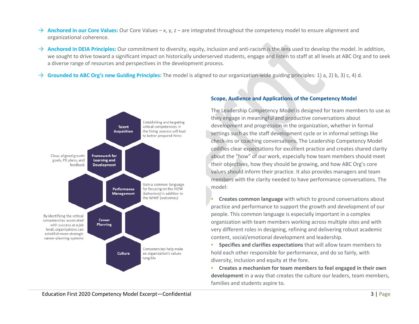- → **Anchored in our Core Values:** Our Core Values x, y, z are integrated throughout the competency model to ensure alignment and organizational coherence.
- → **Anchored in DEIA Principles:** Our commitment to diversity, equity, inclusion and anti-racism is the lens used to develop the model. In addition, we sought to drive toward a significant impact on historically underserved students, engage and listen to staff at all levels at ABC Org and to seek a diverse range of resources and perspectives in the development process.
- <span id="page-2-0"></span>→ **Grounded to ABC Org's new Guiding Principles:** The model is aligned to our organization-wide guiding principles: 1) a, 2) b, 3) c, 4) d.



# **Scope, Audience and Applications of the Competency Model**

The Leadership Competency Model is designed for team members to use as they engage in meaningful and productive conversations about development and progression in the organization, whether in formal settings such as the staff development cycle or in informal settings like check-ins or coaching conversations. The Leadership Competency Model codifies clear expectations for excellent practice and creates shared clarity about the "how" of our work, especially how team members should meet their objectives, how they should be growing, and how ABC Org's core values should inform their practice. It also provides managers and team members with the clarity needed to have performance conversations. The model:

**Creates common language** with which to ground conversations about practice and performance to support the growth and development of our people. This common language is especially important in a complex organization with team members working across multiple sites and with very different roles in designing, refining and delivering robust academic content, social/emotional development and leadership.

▪ **Specifies and clarifies expectations** that will allow team members to hold each other responsible for performance, and do so fairly, with diversity, inclusion and equity at the fore.

▪ **Creates a mechanism for team members to feel engaged in their own development** in a way that creates the culture our leaders, team members, families and students aspire to.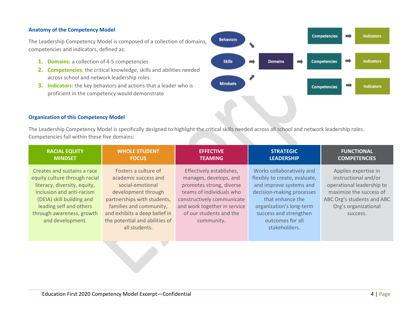## <span id="page-3-0"></span>**Anatomy of the Competency Model**

The Leadership Competency Model is composed of a collection of domains, competencies and indicators, defined as:

- **1. Domains:** a collection of 4-5 competencies
- **2. Competencies:** the critical knowledge, skills and abilities needed across school and network leadership roles
- **3. Indicators:** the key behaviors and actions that a leader who is proficient in the competency would demonstrate



#### **Organization of this Competency Model**

The Leadership Competency Model is specifically designed to highlight the critical skills needed across all school and network leadership roles. Competencies fall within these five domains:

| <b>RACIAL EQUITY</b>                                                                                                                                                                                                               | <b>WHOLE STUDENT</b>                                                                                                                                                                                                                  | <b>EFFECTIVE</b>                                                                                                                                                                                                  | <b>STRATEGIC</b>                                                                                                                                                                                                                  | <b>FUNCTIONAL</b>                                                                                                                                                      |
|------------------------------------------------------------------------------------------------------------------------------------------------------------------------------------------------------------------------------------|---------------------------------------------------------------------------------------------------------------------------------------------------------------------------------------------------------------------------------------|-------------------------------------------------------------------------------------------------------------------------------------------------------------------------------------------------------------------|-----------------------------------------------------------------------------------------------------------------------------------------------------------------------------------------------------------------------------------|------------------------------------------------------------------------------------------------------------------------------------------------------------------------|
| <b>MINDSET</b>                                                                                                                                                                                                                     | <b>FOCUS</b>                                                                                                                                                                                                                          | <b>TEAMING</b>                                                                                                                                                                                                    | <b>LEADERSHIP</b>                                                                                                                                                                                                                 | <b>COMPETENCIES</b>                                                                                                                                                    |
| Creates and sustains a race<br>equity culture through racial<br>literacy, diversity, equity,<br>inclusion and anti-racism<br>(DEIA) skill building and<br>leading self and others<br>through awareness, growth<br>and development. | Fosters a culture of<br>academic success and<br>social-emotional<br>development through<br>partnerships with students,<br>families and community,<br>and exhibits a deep belief in<br>the potential and abilities of<br>all students. | Effectively establishes,<br>manages, develops, and<br>promotes strong, diverse<br>teams of individuals who<br>constructively communicate<br>and work together in service<br>of our students and the<br>community. | Works collaboratively and<br>flexibly to create, evaluate,<br>and improve systems and<br>decision-making processes<br>that enhance the<br>organization's long-term<br>success and strengthen<br>outcomes for all<br>stakeholders. | Applies expertise in<br>instructional and/or<br>operational leadership to<br>maximize the success of<br>ABC Org's students and ABC<br>Org's organizational<br>success. |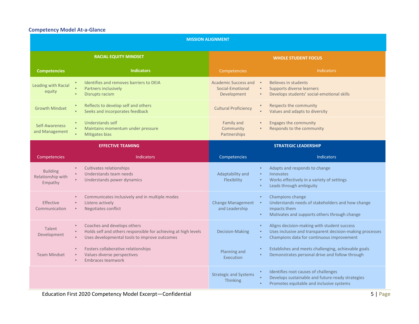# <span id="page-4-0"></span>**Competency Model At-a-Glance**

| <b>MISSION ALIGNMENT</b>                        |                                                                                                                                                                                                     |                                                                                             |                                                                                                                                                      |  |  |
|-------------------------------------------------|-----------------------------------------------------------------------------------------------------------------------------------------------------------------------------------------------------|---------------------------------------------------------------------------------------------|------------------------------------------------------------------------------------------------------------------------------------------------------|--|--|
|                                                 | <b>RACIAL EQUITY MINDSET</b>                                                                                                                                                                        |                                                                                             | <b>WHOLE STUDENT FOCUS</b>                                                                                                                           |  |  |
| <b>Competencies</b>                             | <b>Indicators</b>                                                                                                                                                                                   | Competencies                                                                                | <b>Indicators</b>                                                                                                                                    |  |  |
| <b>Leading with Racial</b><br>equity            | Identifies and removes barriers to DEIA<br>Partners inclusively<br>Disrupts racism<br>$\blacksquare$                                                                                                | Academic Success and<br>Social-Emotional<br>$\blacksquare$<br>Development<br>$\blacksquare$ | Believes in students<br>Supports diverse learners<br>Develops students' social-emotional skills                                                      |  |  |
| <b>Growth Mindset</b>                           | Reflects to develop self and others<br>$\blacksquare$<br>Seeks and incorporates feedback<br>٠                                                                                                       | <b>Cultural Proficiency</b><br>$\blacksquare$                                               | Respects the community<br>Values and adapts to diversity                                                                                             |  |  |
| Self-Awareness<br>and Management                | <b>Understands self</b><br>$\blacksquare$<br>Maintains momentum under pressure<br>Mitigates bias                                                                                                    | Family and<br>$\blacksquare$<br>Community<br>Partnerships                                   | <b>Engages the community</b><br>Responds to the community                                                                                            |  |  |
|                                                 | <b>EFFECTIVE TEAMING</b>                                                                                                                                                                            |                                                                                             | <b>STRATEGIC LEADERSHIP</b>                                                                                                                          |  |  |
| <b>Competencies</b>                             | <b>Indicators</b>                                                                                                                                                                                   | Competencies                                                                                | <b>Indicators</b>                                                                                                                                    |  |  |
| <b>Building</b><br>Relationship with<br>Empathy | Cultivates relationships<br>Understands team needs<br>$\bar{a}$<br>Understands power dynamics                                                                                                       | Adaptability and<br>$\mathbf{u}$<br>Flexibility                                             | Adapts and responds to change<br>Innovates<br>Works effectively in a variety of settings<br>Leads through ambiguity                                  |  |  |
| <b>Effective</b><br>Communication               | Communicates inclusively and in multiple modes<br>Listens actively<br>$\blacksquare$<br>Negotiates conflict<br>$\blacksquare$                                                                       | <b>Change Management</b><br>×<br>and Leadership                                             | Champions change<br>Understands needs of stakeholders and how change<br>impacts them<br>Motivates and supports others through change                 |  |  |
| Talent<br>Development                           | Coaches and develops others<br>$\blacksquare$<br>Holds self and others responsible for achieving at high levels<br>$\blacksquare$<br>Uses developmental tools to improve outcomes<br>$\blacksquare$ | $\blacksquare$<br>Decision-Making<br>$\blacksquare$                                         | Aligns decision-making with student success<br>Uses inclusive and transparent decision-making processes<br>Champions data for continuous improvement |  |  |
| <b>Team Mindset</b>                             | Fosters collaborative relationships<br>Values diverse perspectives<br>$\blacksquare$<br><b>Embraces teamwork</b><br>$\blacksquare$                                                                  | Planning and<br>Execution                                                                   | Establishes and meets challenging, achievable goals<br>Demonstrates personal drive and follow through                                                |  |  |
|                                                 |                                                                                                                                                                                                     | <b>Strategic and Systems</b><br><b>Thinking</b>                                             | Identifies root causes of challenges<br>Develops sustainable and future-ready strategies<br>Promotes equitable and inclusive systems                 |  |  |
|                                                 | $5$   Page<br>Education First 2020 Competency Model Excerpt-Confidential                                                                                                                            |                                                                                             |                                                                                                                                                      |  |  |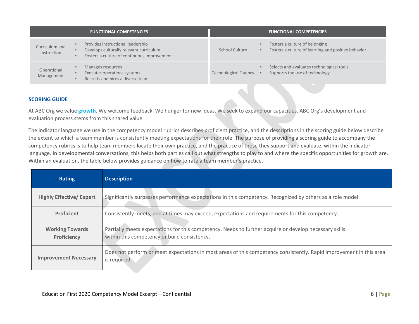|                               | <b>FUNCTIONAL COMPETENCIES</b>                                                                                              |                              |                | <b>FUNCTIONAL COMPETENCIES</b>                                                        |
|-------------------------------|-----------------------------------------------------------------------------------------------------------------------------|------------------------------|----------------|---------------------------------------------------------------------------------------|
| Curriculum and<br>Instruction | Provides instructional leadership<br>Develops culturally relevant curriculum<br>Fosters a culture of continuous improvement | School Culture               | $\blacksquare$ | Fosters a culture of belonging<br>Fosters a culture of learning and positive behavior |
| Operational<br>Management     | Manages resources<br>Executes operations systems<br>Recruits and hires a diverse team                                       | <b>Technological Fluency</b> | - 8            | Selects and evaluates technological tools<br>Supports the use of technology           |

#### <span id="page-5-0"></span>**SCORING GUIDE**

At ABC Org we value **growth**. We welcome feedback. We hunger for new ideas. We seek to expand our capacities. ABC Org's development and evaluation process stems from this shared value.

The indicator language we use in the competency model rubrics describes proficient practice, and the descriptions in the scoring guide below describe the extent to which a team member is consistently meeting expectations for their role. The purpose of providing a scoring guide to accompany the competency rubrics is to help team members locate their own practice, and the practice of those they support and evaluate, within the indicator language. In developmental conversations, this helps both parties call out what strengths to play to and where the specific opportunities for growth are. Within an evaluation, the table below provides guidance on how to rate a team member's practice.

| <b>Rating</b>                         | <b>Description</b>                                                                                                                                     |
|---------------------------------------|--------------------------------------------------------------------------------------------------------------------------------------------------------|
| <b>Highly Effective/ Expert</b>       | Significantly surpasses performance expectations in this competency. Recognized by others as a role model.                                             |
| <b>Proficient</b>                     | Consistently meets, and at times may exceed, expectations and requirements for this competency.                                                        |
| <b>Working Towards</b><br>Proficiency | Partially meets expectations for this competency. Needs to further acquire or develop necessary skills<br>within this competency or build consistency. |
| <b>Improvement Necessary</b>          | Does not perform or meet expectations in most areas of this competency consistently. Rapid improvement in this area<br>is required.                    |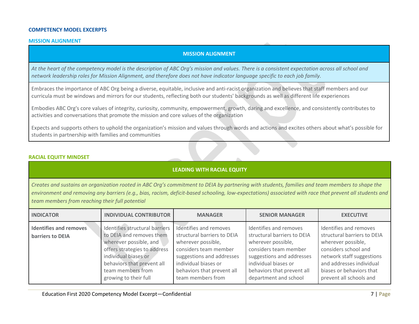#### **COMPETENCY MODEL EXCERPTS**

#### <span id="page-6-0"></span>**MISSION ALIGNMENT**

#### **MISSION ALIGNMENT**

*At the heart of the competency model is the description of ABC Org's mission and values. There is a consistent expectation across all school and network leadership roles for Mission Alignment, and therefore does not have indicator language specific to each job family.*

Embraces the importance of ABC Org being a diverse, equitable, inclusive and anti-racist organization and believes that staff members and our curricula must be windows and mirrors for our students, reflecting both our students' backgrounds as well as different life experiences

Embodies ABC Org's core values of integrity, curiosity, community, empowerment, growth, daring and excellence, and consistently contributes to activities and conversations that promote the mission and core values of the organization

Expects and supports others to uphold the organization's mission and values through words and actions and excites others about what's possible for students in partnership with families and communities

#### **RACIAL EQUITY MINDSET**

## **LEADING WITH RACIAL EQUITY**

*Creates and sustains an organization rooted in ABC Org's commitment to DEIA by partnering with students, families and team members to shape the environment and removing any barriers (e.g., bias, racism, deficit-based schooling, low-expectations) associated with race that prevent all students and team members from reaching their full potential*

| <b>INDICATOR</b>                                  | <b>INDIVIDUAL CONTRIBUTOR</b>                                                                                                                                                                                            | <b>MANAGER</b>                                                                                                                                                                                               | <b>SENIOR MANAGER</b>                                                                                                                                                                                            | <b>EXECUTIVE</b>                                                                                                                                                                                                    |
|---------------------------------------------------|--------------------------------------------------------------------------------------------------------------------------------------------------------------------------------------------------------------------------|--------------------------------------------------------------------------------------------------------------------------------------------------------------------------------------------------------------|------------------------------------------------------------------------------------------------------------------------------------------------------------------------------------------------------------------|---------------------------------------------------------------------------------------------------------------------------------------------------------------------------------------------------------------------|
| Identifies and removes<br><b>barriers to DEIA</b> | Identifies structural barriers<br>to DEIA and removes them<br>wherever possible, and<br>offers strategies to address<br>individual biases or<br>behaviors that prevent all<br>team members from<br>growing to their full | Identifies and removes<br>structural barriers to DEIA<br>wherever possible,<br>considers team member<br>suggestions and addresses<br>individual biases or<br>behaviors that prevent all<br>team members from | Identifies and removes<br>structural barriers to DEIA<br>wherever possible,<br>considers team member<br>suggestions and addresses<br>individual biases or<br>behaviors that prevent all<br>department and school | Identifies and removes<br>structural barriers to DEIA<br>wherever possible,<br>considers school and<br>network staff suggestions<br>and addresses individual<br>biases or behaviors that<br>prevent all schools and |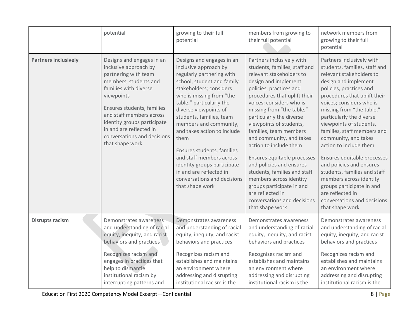|                             | potential                                                                                                                                                                                                                                                                                                        | growing to their full<br>potential                                                                                                                                                                                                                                                                                                                                                                                                                                                           | members from growing to<br>their full potential                                                                                                                                                                                                                                                                                                                                                                                                                                                                                                                                                    | network members from<br>growing to their full<br>potential                                                                                                                                                                                                                                                                                                                                                                                                                                                                                                                                          |
|-----------------------------|------------------------------------------------------------------------------------------------------------------------------------------------------------------------------------------------------------------------------------------------------------------------------------------------------------------|----------------------------------------------------------------------------------------------------------------------------------------------------------------------------------------------------------------------------------------------------------------------------------------------------------------------------------------------------------------------------------------------------------------------------------------------------------------------------------------------|----------------------------------------------------------------------------------------------------------------------------------------------------------------------------------------------------------------------------------------------------------------------------------------------------------------------------------------------------------------------------------------------------------------------------------------------------------------------------------------------------------------------------------------------------------------------------------------------------|-----------------------------------------------------------------------------------------------------------------------------------------------------------------------------------------------------------------------------------------------------------------------------------------------------------------------------------------------------------------------------------------------------------------------------------------------------------------------------------------------------------------------------------------------------------------------------------------------------|
| <b>Partners inclusively</b> | Designs and engages in an<br>inclusive approach by<br>partnering with team<br>members, students and<br>families with diverse<br>viewpoints<br>Ensures students, families<br>and staff members across<br>identity groups participate<br>in and are reflected in<br>conversations and decisions<br>that shape work | Designs and engages in an<br>inclusive approach by<br>regularly partnering with<br>school, student and family<br>stakeholders; considers<br>who is missing from "the<br>table," particularly the<br>diverse viewpoints of<br>students, families, team<br>members and community,<br>and takes action to include<br>them<br>Ensures students, families<br>and staff members across<br>identity groups participate<br>in and are reflected in<br>conversations and decisions<br>that shape work | Partners inclusively with<br>students, families, staff and<br>relevant stakeholders to<br>design and implement<br>policies, practices and<br>procedures that uplift their<br>voices; considers who is<br>missing from "the table,"<br>particularly the diverse<br>viewpoints of students,<br>families, team members<br>and community, and takes<br>action to include them<br>Ensures equitable processes<br>and policies and ensures<br>students, families and staff<br>members across identity<br>groups participate in and<br>are reflected in<br>conversations and decisions<br>that shape work | Partners inclusively with<br>students, families, staff and<br>relevant stakeholders to<br>design and implement<br>policies, practices and<br>procedures that uplift their<br>voices; considers who is<br>missing from "the table,"<br>particularly the diverse<br>viewpoints of students,<br>families, staff members and<br>community, and takes<br>action to include them<br>Ensures equitable processes<br>and policies and ensures<br>students, families and staff<br>members across identity<br>groups participate in and<br>are reflected in<br>conversations and decisions<br>that shape work |
| <b>Disrupts racism</b>      | Demonstrates awareness<br>and understanding of racial<br>equity, inequity, and racist<br>behaviors and practices<br>Recognizes racism and<br>engages in practices that<br>help to dismantle<br>institutional racism by<br>interrupting patterns and                                                              | Demonstrates awareness<br>and understanding of racial<br>equity, inequity, and racist<br>behaviors and practices<br>Recognizes racism and<br>establishes and maintains<br>an environment where<br>addressing and disrupting<br>institutional racism is the                                                                                                                                                                                                                                   | Demonstrates awareness<br>and understanding of racial<br>equity, inequity, and racist<br>behaviors and practices<br>Recognizes racism and<br>establishes and maintains<br>an environment where<br>addressing and disrupting<br>institutional racism is the                                                                                                                                                                                                                                                                                                                                         | Demonstrates awareness<br>and understanding of racial<br>equity, inequity, and racist<br>behaviors and practices<br>Recognizes racism and<br>establishes and maintains<br>an environment where<br>addressing and disrupting<br>institutional racism is the                                                                                                                                                                                                                                                                                                                                          |

Education First 2020 Competency Model Excerpt—Confidential 8 | Page 3 | Page 3 | Page 3 | Page 3 | Page 3 | Page 3 | Page 3 | Page 3 | Page 3 | Page 3 | Page 3 | Page 3 | Page 3 | Page 3 | Page 3 | Page 3 | Page 3 | Page 3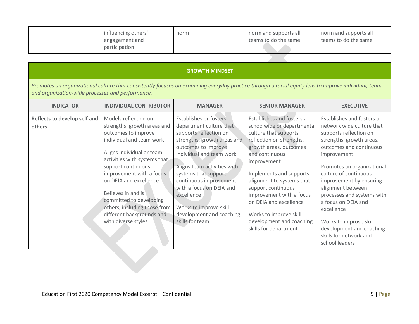| influencing others'<br>engagement and | norm | norm and supports all<br>teams to do the same | norm and supports all<br>teams to do the same |
|---------------------------------------|------|-----------------------------------------------|-----------------------------------------------|
| participation                         |      |                                               |                                               |

|  | <b>GROWTH MINDSET</b> |
|--|-----------------------|
|  |                       |

*Promotes an organizational culture that consistently focuses on examining everyday practice through a racial equity lens to improve individual, team and organization-wide processes and performance.*

| <b>INDICATOR</b>                       | <b>INDIVIDUAL CONTRIBUTOR</b>                                                                                                                                                                                                                                                                                                                                                        | <b>MANAGER</b>                                                                                                                                                                                                                                                                                                                                                           | <b>SENIOR MANAGER</b>                                                                                                                                                                                                                                                                                                                                                                      | <b>EXECUTIVE</b>                                                                                                                                                                                                                                                                                                                                                                                                                   |
|----------------------------------------|--------------------------------------------------------------------------------------------------------------------------------------------------------------------------------------------------------------------------------------------------------------------------------------------------------------------------------------------------------------------------------------|--------------------------------------------------------------------------------------------------------------------------------------------------------------------------------------------------------------------------------------------------------------------------------------------------------------------------------------------------------------------------|--------------------------------------------------------------------------------------------------------------------------------------------------------------------------------------------------------------------------------------------------------------------------------------------------------------------------------------------------------------------------------------------|------------------------------------------------------------------------------------------------------------------------------------------------------------------------------------------------------------------------------------------------------------------------------------------------------------------------------------------------------------------------------------------------------------------------------------|
| Reflects to develop self and<br>others | Models reflection on<br>strengths, growth areas and<br>outcomes to improve<br>individual and team work<br>Aligns individual or team<br>activities with systems that<br>support continuous<br>improvement with a focus<br>on DEIA and excellence<br>Believes in and is<br>committed to developing<br>others, including those from<br>different backgrounds and<br>with diverse styles | <b>Establishes or fosters</b><br>department culture that<br>supports reflection on<br>strengths, growth areas and<br>outcomes to improve<br>individual and team work<br>Aligns team activities with<br>systems that support<br>continuous improvement<br>with a focus on DEIA and<br>excellence<br>Works to improve skill<br>development and coaching<br>skills for team | Establishes and fosters a<br>schoolwide or departmental<br>culture that supports<br>reflection on strengths,<br>growth areas, outcomes<br>and continuous<br>improvement<br>Implements and supports<br>alignment to systems that<br>support continuous<br>improvement with a focus<br>on DEIA and excellence<br>Works to improve skill<br>development and coaching<br>skills for department | Establishes and fosters a<br>network wide culture that<br>supports reflection on<br>strengths, growth areas,<br>outcomes and continuous<br>improvement<br>Promotes an organizational<br>culture of continuous<br>improvement by ensuring<br>alignment between<br>processes and systems with<br>a focus on DEIA and<br>excellence<br>Works to improve skill<br>development and coaching<br>skills for network and<br>school leaders |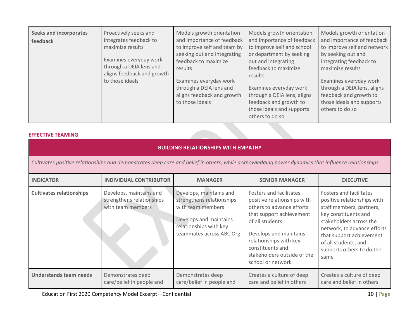| <b>Seeks and incorporates</b><br>Proactively seeks and<br>integrates feedback to<br>feedback<br>maximize results<br>Examines everyday work<br>through a DEIA lens and<br>aligns feedback and growth<br>to those ideals | Models growth orientation<br>and importance of feedback<br>to improve self and team by<br>seeking out and integrating<br>feedback to maximize<br>results<br>Examines everyday work<br>through a DEIA lens and<br>aligns feedback and growth<br>to those ideals | Models growth orientation<br>and importance of feedback<br>to improve self and school<br>or department by seeking<br>out and integrating<br>feedback to maximize<br>results<br>Examines everyday work<br>through a DEIA lens, aligns<br>feedback and growth to<br>those ideals and supports<br>others to do so | Models growth orientation<br>and importance of feedback<br>to improve self and network<br>by seeking out and<br>integrating feedback to<br>maximize results<br>Examines everyday work<br>through a DEIA lens, aligns<br>feedback and growth to<br>those ideals and supports<br>others to do so |
|------------------------------------------------------------------------------------------------------------------------------------------------------------------------------------------------------------------------|----------------------------------------------------------------------------------------------------------------------------------------------------------------------------------------------------------------------------------------------------------------|----------------------------------------------------------------------------------------------------------------------------------------------------------------------------------------------------------------------------------------------------------------------------------------------------------------|------------------------------------------------------------------------------------------------------------------------------------------------------------------------------------------------------------------------------------------------------------------------------------------------|
|------------------------------------------------------------------------------------------------------------------------------------------------------------------------------------------------------------------------|----------------------------------------------------------------------------------------------------------------------------------------------------------------------------------------------------------------------------------------------------------------|----------------------------------------------------------------------------------------------------------------------------------------------------------------------------------------------------------------------------------------------------------------------------------------------------------------|------------------------------------------------------------------------------------------------------------------------------------------------------------------------------------------------------------------------------------------------------------------------------------------------|

# **EFFECTIVE TEAMING**

| <b>BUILDING RELATIONSHIPS WITH EMPATHY</b> |                                                                                                                                                     |                                                                                                                                                           |                                                                                                                                                                                                                                                                |                                                                                                                                                                                                                                                               |  |
|--------------------------------------------|-----------------------------------------------------------------------------------------------------------------------------------------------------|-----------------------------------------------------------------------------------------------------------------------------------------------------------|----------------------------------------------------------------------------------------------------------------------------------------------------------------------------------------------------------------------------------------------------------------|---------------------------------------------------------------------------------------------------------------------------------------------------------------------------------------------------------------------------------------------------------------|--|
|                                            | Cultivates positive relationships and demonstrates deep care and belief in others, while acknowledging power dynamics that influence relationships. |                                                                                                                                                           |                                                                                                                                                                                                                                                                |                                                                                                                                                                                                                                                               |  |
| <b>INDICATOR</b>                           | <b>INDIVIDUAL CONTRIBUTOR</b>                                                                                                                       | <b>MANAGER</b>                                                                                                                                            | <b>SENIOR MANAGER</b>                                                                                                                                                                                                                                          | <b>EXECUTIVE</b>                                                                                                                                                                                                                                              |  |
| <b>Cultivates relationships</b>            | Develops, maintains and<br>strengthens relationships<br>with team members                                                                           | Develops, maintains and<br>strengthens relationships<br>with team members<br>Develops and maintains<br>relationships with key<br>teammates across ABC Org | Fosters and facilitates<br>positive relationships with<br>others to advance efforts<br>that support achievement<br>of all students<br>Develops and maintains<br>relationships with key<br>constituents and<br>stakeholders outside of the<br>school or network | Fosters and facilitates<br>positive relationships with<br>staff members, partners,<br>key constituents and<br>stakeholders across the<br>network, to advance efforts<br>that support achievement<br>of all students, and<br>supports others to do the<br>same |  |
| Understands team needs                     | Demonstrates deep<br>care/belief in people and                                                                                                      | Demonstrates deep<br>care/belief in people and                                                                                                            | Creates a culture of deep<br>care and belief in others                                                                                                                                                                                                         | Creates a culture of deep<br>care and belief in others                                                                                                                                                                                                        |  |

Education First 2020 Competency Model Excerpt—Confidential 10 and 10 and 10 and 10 and 10 and 10 and 10 and 10 and 10 and 10 and 10 and 10 and 10 and 10 and 10 and 10 and 10 and 10 and 10 and 10 and 10 and 10 and 10 and 10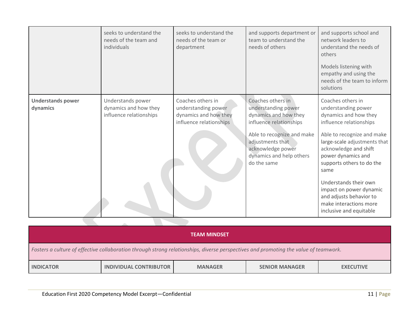|                                      | seeks to understand the<br>needs of the team and<br>individuals       | seeks to understand the<br>needs of the team or<br>department                                | and supports department or<br>team to understand the<br>needs of others                                                                                                                                        | and supports school and<br>network leaders to<br>understand the needs of<br>others<br>Models listening with<br>empathy and using the<br>needs of the team to inform<br>solutions                                                                                                                                                                                                   |
|--------------------------------------|-----------------------------------------------------------------------|----------------------------------------------------------------------------------------------|----------------------------------------------------------------------------------------------------------------------------------------------------------------------------------------------------------------|------------------------------------------------------------------------------------------------------------------------------------------------------------------------------------------------------------------------------------------------------------------------------------------------------------------------------------------------------------------------------------|
| <b>Understands power</b><br>dynamics | Understands power<br>dynamics and how they<br>influence relationships | Coaches others in<br>understanding power<br>dynamics and how they<br>influence relationships | Coaches others in<br>understanding power<br>dynamics and how they<br>influence relationships<br>Able to recognize and make<br>adjustments that<br>acknowledge power<br>dynamics and help others<br>do the same | Coaches others in<br>understanding power<br>dynamics and how they<br>influence relationships<br>Able to recognize and make<br>large-scale adjustments that<br>acknowledge and shift<br>power dynamics and<br>supports others to do the<br>same<br>Understands their own<br>impact on power dynamic<br>and adjusts behavior to<br>make interactions more<br>inclusive and equitable |

| <b>TEAM MINDSET</b>                                                                                                                  |                        |                |                       |                  |  |
|--------------------------------------------------------------------------------------------------------------------------------------|------------------------|----------------|-----------------------|------------------|--|
| Fosters a culture of effective collaboration through strong relationships, diverse perspectives and promoting the value of teamwork. |                        |                |                       |                  |  |
| <b>INDICATOR</b>                                                                                                                     | INDIVIDUAL CONTRIBUTOR | <b>MANAGER</b> | <b>SENIOR MANAGER</b> | <b>EXECUTIVE</b> |  |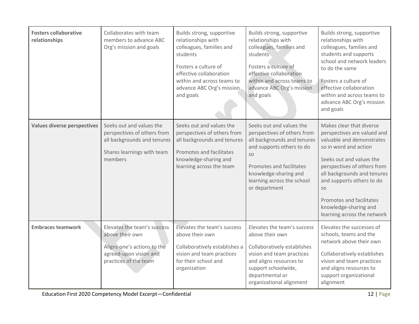| <b>Fosters collaborative</b><br>relationships | Collaborates with team<br>members to advance ABC<br>Org's mission and goals                                                      | Builds strong, supportive<br>relationships with<br>colleagues, families and<br>students<br>Fosters a culture of<br>effective collaboration<br>within and across teams to<br>advance ABC Org's mission<br>and goals | Builds strong, supportive<br>relationships with<br>colleagues, families and<br>students<br>Fosters a culture of<br>effective collaboration<br>within and across teams to<br>advance ABC Org's mission<br>and goals            | Builds strong, supportive<br>relationships with<br>colleagues, families and<br>students and supports<br>school and network leaders<br>to do the same<br>Fosters a culture of<br>effective collaboration<br>within and across teams to<br>advance ABC Org's mission<br>and goals                                                |
|-----------------------------------------------|----------------------------------------------------------------------------------------------------------------------------------|--------------------------------------------------------------------------------------------------------------------------------------------------------------------------------------------------------------------|-------------------------------------------------------------------------------------------------------------------------------------------------------------------------------------------------------------------------------|--------------------------------------------------------------------------------------------------------------------------------------------------------------------------------------------------------------------------------------------------------------------------------------------------------------------------------|
| <b>Values diverse perspectives</b>            | Seeks out and values the<br>perspectives of others from<br>all backgrounds and tenures<br>Shares learnings with team<br>members  | Seeks out and values the<br>perspectives of others from<br>all backgrounds and tenures<br>Promotes and facilitates<br>knowledge-sharing and<br>learning across the team                                            | Seeks out and values the<br>perspectives of others from<br>all backgrounds and tenures<br>and supports others to do<br>SO<br>Promotes and facilitates<br>knowledge-sharing and<br>learning across the school<br>or department | Makes clear that diverse<br>perspectives are valued and<br>valuable and demonstrates<br>so in word and action<br>Seeks out and values the<br>perspectives of others from<br>all backgrounds and tenures<br>and supports others to do<br>SO<br>Promotes and facilitates<br>knowledge-sharing and<br>learning across the network |
| <b>Embraces teamwork</b>                      | Elevates the team's success<br>above their own<br>Aligns one's actions to the<br>agreed-upon vision and<br>practices of the team | Elevates the team's success<br>above their own<br>Collaboratively establishes a<br>vision and team practices<br>for their school and<br>organization                                                               | Elevates the team's success<br>above their own<br>Collaboratively establishes<br>vision and team practices<br>and aligns resources to<br>support schoolwide,<br>departmental or<br>organizational alignment                   | Elevates the successes of<br>schools, teams and the<br>network above their own<br>Collaboratively establishes<br>vision and team practices<br>and aligns resources to<br>support organizational<br>alignment                                                                                                                   |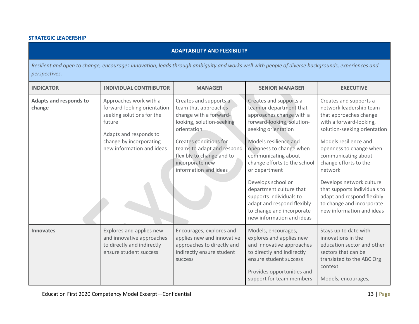# **STRATEGIC LEADERSHIP**

| ADAPTABILITY AND FLEXIBILITY' |
|-------------------------------|

*Resilient and open to change, encourages innovation, leads through ambiguity and works well with people of diverse backgrounds, experiences and perspectives.*

| <b>INDICATOR</b>                 | <b>INDIVIDUAL CONTRIBUTOR</b>                                                                                                                                                  | <b>MANAGER</b>                                                                                                                                                                                                                                        | <b>SENIOR MANAGER</b>                                                                                                                                                                                                                                                                                                                                                                                                              | <b>EXECUTIVE</b>                                                                                                                                                                                                                                                                                                                                                                                          |
|----------------------------------|--------------------------------------------------------------------------------------------------------------------------------------------------------------------------------|-------------------------------------------------------------------------------------------------------------------------------------------------------------------------------------------------------------------------------------------------------|------------------------------------------------------------------------------------------------------------------------------------------------------------------------------------------------------------------------------------------------------------------------------------------------------------------------------------------------------------------------------------------------------------------------------------|-----------------------------------------------------------------------------------------------------------------------------------------------------------------------------------------------------------------------------------------------------------------------------------------------------------------------------------------------------------------------------------------------------------|
| Adapts and responds to<br>change | Approaches work with a<br>forward-looking orientation<br>seeking solutions for the<br>future<br>Adapts and responds to<br>change by incorporating<br>new information and ideas | Creates and supports a<br>team that approaches<br>change with a forward-<br>looking, solution-seeking<br>orientation<br>Creates conditions for<br>teams to adapt and respond<br>flexibly to change and to<br>incorporate new<br>information and ideas | Creates and supports a<br>team or department that<br>approaches change with a<br>forward-looking, solution-<br>seeking orientation<br>Models resilience and<br>openness to change when<br>communicating about<br>change efforts to the school<br>or department<br>Develops school or<br>department culture that<br>supports individuals to<br>adapt and respond flexibly<br>to change and incorporate<br>new information and ideas | Creates and supports a<br>network leadership team<br>that approaches change<br>with a forward-looking,<br>solution-seeking orientation<br>Models resilience and<br>openness to change when<br>communicating about<br>change efforts to the<br>network<br>Develops network culture<br>that supports individuals to<br>adapt and respond flexibly<br>to change and incorporate<br>new information and ideas |
| <b>Innovates</b>                 | Explores and applies new<br>and innovative approaches<br>to directly and indirectly<br>ensure student success                                                                  | Encourages, explores and<br>applies new and innovative<br>approaches to directly and<br>indirectly ensure student<br><b>SUCCESS</b>                                                                                                                   | Models, encourages,<br>explores and applies new<br>and innovative approaches<br>to directly and indirectly<br>ensure student success<br>Provides opportunities and<br>support for team members                                                                                                                                                                                                                                     | Stays up to date with<br>innovations in the<br>education sector and other<br>sectors that can be<br>translated to the ABC Org<br>context<br>Models, encourages,                                                                                                                                                                                                                                           |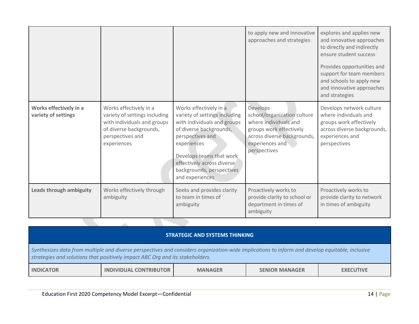|                                               |                                                                                                                                                      |                                                                                                                                                                                                                                                                | to apply new and innovative<br>approaches and strategies                                                                                                      | explores and applies new<br>and innovative approaches<br>to directly and indirectly<br>ensure student success<br>Provides opportunities and<br>support for team members<br>and schools to apply new<br>and innovative approaches<br>and strategies |
|-----------------------------------------------|------------------------------------------------------------------------------------------------------------------------------------------------------|----------------------------------------------------------------------------------------------------------------------------------------------------------------------------------------------------------------------------------------------------------------|---------------------------------------------------------------------------------------------------------------------------------------------------------------|----------------------------------------------------------------------------------------------------------------------------------------------------------------------------------------------------------------------------------------------------|
| Works effectively in a<br>variety of settings | Works effectively in a<br>variety of settings including<br>with individuals and groups<br>of diverse backgrounds,<br>perspectives and<br>experiences | Works effectively in a<br>variety of settings including<br>with individuals and groups<br>of diverse backgrounds,<br>perspectives and<br>experiences<br>Develops teams that work<br>effectively across diverse<br>backgrounds, perspectives<br>and experiences | Develops<br>school/organization culture<br>where individuals and<br>groups work effectively<br>across diverse backgrounds,<br>experiences and<br>perspectives | Develops network culture<br>where individuals and<br>groups work effectively<br>across diverse backgrounds,<br>experiences and<br>perspectives                                                                                                     |
| Leads through ambiguity                       | Works effectively through<br>ambiguity                                                                                                               | Seeks and provides clarity<br>to team in times of<br>ambiguity                                                                                                                                                                                                 | Proactively works to<br>provide clarity to school or<br>department in times of<br>ambiguity                                                                   | Proactively works to<br>provide clarity to network<br>in times of ambiguity                                                                                                                                                                        |

| <b>STRATEGIC AND SYSTEMS THINKING</b>                                                                                                                                                                                            |                               |                |                       |                  |  |
|----------------------------------------------------------------------------------------------------------------------------------------------------------------------------------------------------------------------------------|-------------------------------|----------------|-----------------------|------------------|--|
| Synthesizes data from multiple and diverse perspectives and considers organization-wide implications to inform and develop equitable, inclusive<br>strategies and solutions that positively impact ABC Org and its stakeholders. |                               |                |                       |                  |  |
| <b>INDICATOR</b>                                                                                                                                                                                                                 | <b>INDIVIDUAL CONTRIBUTOR</b> | <b>MANAGER</b> | <b>SENIOR MANAGER</b> | <b>EXECUTIVE</b> |  |
|                                                                                                                                                                                                                                  |                               |                |                       |                  |  |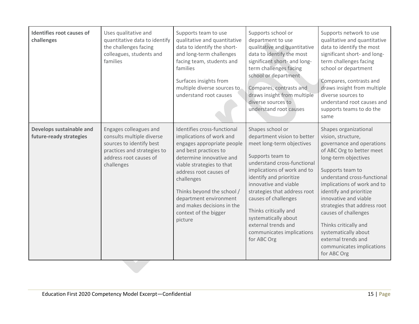| Identifies root causes of<br>challenges             | Uses qualitative and<br>quantitative data to identify<br>the challenges facing<br>colleagues, students and<br>families                                 | Supports team to use<br>qualitative and quantitative<br>data to identify the short-<br>and long-term challenges<br>facing team, students and<br>families<br>Surfaces insights from<br>multiple diverse sources to<br>understand root causes                                                                                               | Supports school or<br>department to use<br>qualitative and quantitative<br>data to identify the most<br>significant short- and long-<br>term challenges facing<br>school or department<br>Compares, contrasts and<br>draws insight from multiple<br>diverse sources to<br>understand root causes                                                                                               | Supports network to use<br>qualitative and quantitative<br>data to identify the most<br>significant short- and long-<br>term challenges facing<br>school or department<br>Compares, contrasts and<br>draws insight from multiple<br>diverse sources to<br>understand root causes and<br>supports teams to do the<br>same                                                                                                                        |
|-----------------------------------------------------|--------------------------------------------------------------------------------------------------------------------------------------------------------|-------------------------------------------------------------------------------------------------------------------------------------------------------------------------------------------------------------------------------------------------------------------------------------------------------------------------------------------|------------------------------------------------------------------------------------------------------------------------------------------------------------------------------------------------------------------------------------------------------------------------------------------------------------------------------------------------------------------------------------------------|-------------------------------------------------------------------------------------------------------------------------------------------------------------------------------------------------------------------------------------------------------------------------------------------------------------------------------------------------------------------------------------------------------------------------------------------------|
| Develops sustainable and<br>future-ready strategies | Engages colleagues and<br>consults multiple diverse<br>sources to identify best<br>practices and strategies to<br>address root causes of<br>challenges | Identifies cross-functional<br>implications of work and<br>engages appropriate people<br>and best practices to<br>determine innovative and<br>viable strategies to that<br>address root causes of<br>challenges<br>Thinks beyond the school /<br>department environment<br>and makes decisions in the<br>context of the bigger<br>picture | Shapes school or<br>department vision to better<br>meet long-term objectives<br>Supports team to<br>understand cross-functional<br>implications of work and to<br>identify and prioritize<br>innovative and viable<br>strategies that address root<br>causes of challenges<br>Thinks critically and<br>systematically about<br>external trends and<br>communicates implications<br>for ABC Org | Shapes organizational<br>vision, structure,<br>governance and operations<br>of ABC Org to better meet<br>long-term objectives<br>Supports team to<br>understand cross-functional<br>implications of work and to<br>identify and prioritize<br>innovative and viable<br>strategies that address root<br>causes of challenges<br>Thinks critically and<br>systematically about<br>external trends and<br>communicates implications<br>for ABC Org |